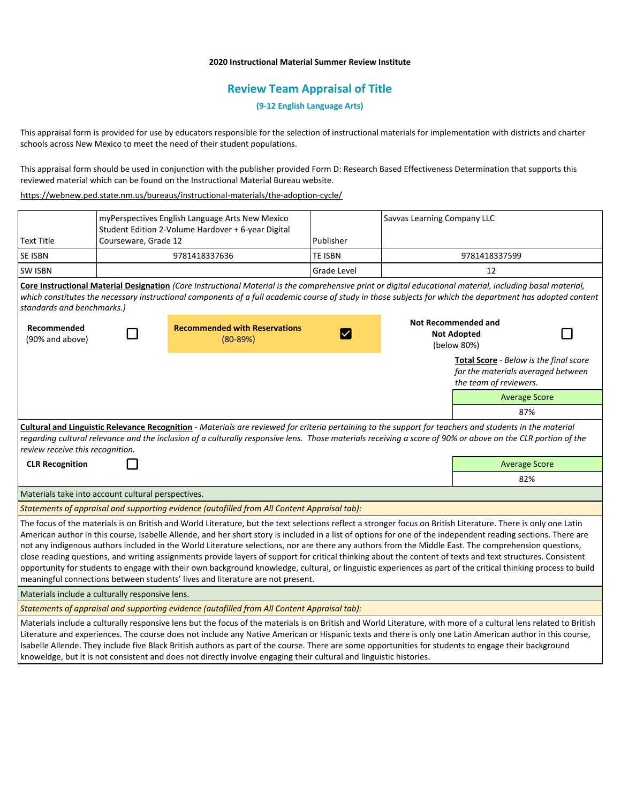# **2020 Instructional Material Summer Review Institute**

# **Review Team Appraisal of Title**

**(9-12 English Language Arts)**

This appraisal form is provided for use by educators responsible for the selection of instructional materials for implementation with districts and charter schools across New Mexico to meet the need of their student populations.

This appraisal form should be used in conjunction with the publisher provided Form D: Research Based Effectiveness Determination that supports this reviewed material which can be found on the Instructional Material Bureau website.

<https://webnew.ped.state.nm.us/bureaus/instructional-materials/the-adoption-cycle/>

|                                                                                                                                                                                                                                                                                                                                                                                                                                                                                                                                                                                                                                                                                                                                                                                                                                                                                                           | myPerspectives English Language Arts New Mexico<br>Student Edition 2-Volume Hardover + 6-year Digital |                                                                                                                                                                                                                                                                                                                                                                                                                                                                                                                                                                                                                |                    | Savvas Learning Company LLC |                                                                                                        |  |  |
|-----------------------------------------------------------------------------------------------------------------------------------------------------------------------------------------------------------------------------------------------------------------------------------------------------------------------------------------------------------------------------------------------------------------------------------------------------------------------------------------------------------------------------------------------------------------------------------------------------------------------------------------------------------------------------------------------------------------------------------------------------------------------------------------------------------------------------------------------------------------------------------------------------------|-------------------------------------------------------------------------------------------------------|----------------------------------------------------------------------------------------------------------------------------------------------------------------------------------------------------------------------------------------------------------------------------------------------------------------------------------------------------------------------------------------------------------------------------------------------------------------------------------------------------------------------------------------------------------------------------------------------------------------|--------------------|-----------------------------|--------------------------------------------------------------------------------------------------------|--|--|
| <b>Text Title</b>                                                                                                                                                                                                                                                                                                                                                                                                                                                                                                                                                                                                                                                                                                                                                                                                                                                                                         | Courseware, Grade 12                                                                                  |                                                                                                                                                                                                                                                                                                                                                                                                                                                                                                                                                                                                                | Publisher          |                             |                                                                                                        |  |  |
| SE ISBN                                                                                                                                                                                                                                                                                                                                                                                                                                                                                                                                                                                                                                                                                                                                                                                                                                                                                                   |                                                                                                       | 9781418337636                                                                                                                                                                                                                                                                                                                                                                                                                                                                                                                                                                                                  | <b>TE ISBN</b>     | 9781418337599               |                                                                                                        |  |  |
| <b>SW ISBN</b>                                                                                                                                                                                                                                                                                                                                                                                                                                                                                                                                                                                                                                                                                                                                                                                                                                                                                            |                                                                                                       |                                                                                                                                                                                                                                                                                                                                                                                                                                                                                                                                                                                                                | <b>Grade Level</b> |                             | 12                                                                                                     |  |  |
| standards and benchmarks.)                                                                                                                                                                                                                                                                                                                                                                                                                                                                                                                                                                                                                                                                                                                                                                                                                                                                                |                                                                                                       | Core Instructional Material Designation (Core Instructional Material is the comprehensive print or digital educational material, including basal material,<br>which constitutes the necessary instructional components of a full academic course of study in those subjects for which the department has adopted content                                                                                                                                                                                                                                                                                       |                    |                             |                                                                                                        |  |  |
| Recommended<br>(90% and above)                                                                                                                                                                                                                                                                                                                                                                                                                                                                                                                                                                                                                                                                                                                                                                                                                                                                            |                                                                                                       | <b>Recommended with Reservations</b><br>$(80-89%)$                                                                                                                                                                                                                                                                                                                                                                                                                                                                                                                                                             | $\checkmark$       |                             | <b>Not Recommended and</b><br><b>Not Adopted</b><br>(below 80%)                                        |  |  |
|                                                                                                                                                                                                                                                                                                                                                                                                                                                                                                                                                                                                                                                                                                                                                                                                                                                                                                           |                                                                                                       |                                                                                                                                                                                                                                                                                                                                                                                                                                                                                                                                                                                                                |                    |                             | Total Score - Below is the final score<br>for the materials averaged between<br>the team of reviewers. |  |  |
|                                                                                                                                                                                                                                                                                                                                                                                                                                                                                                                                                                                                                                                                                                                                                                                                                                                                                                           |                                                                                                       |                                                                                                                                                                                                                                                                                                                                                                                                                                                                                                                                                                                                                |                    |                             | <b>Average Score</b>                                                                                   |  |  |
|                                                                                                                                                                                                                                                                                                                                                                                                                                                                                                                                                                                                                                                                                                                                                                                                                                                                                                           |                                                                                                       |                                                                                                                                                                                                                                                                                                                                                                                                                                                                                                                                                                                                                |                    |                             | 87%                                                                                                    |  |  |
| Cultural and Linguistic Relevance Recognition - Materials are reviewed for criteria pertaining to the support for teachers and students in the material<br>regarding cultural relevance and the inclusion of a culturally responsive lens. Those materials receiving a score of 90% or above on the CLR portion of the<br>review receive this recognition.                                                                                                                                                                                                                                                                                                                                                                                                                                                                                                                                                |                                                                                                       |                                                                                                                                                                                                                                                                                                                                                                                                                                                                                                                                                                                                                |                    |                             |                                                                                                        |  |  |
| <b>CLR Recognition</b>                                                                                                                                                                                                                                                                                                                                                                                                                                                                                                                                                                                                                                                                                                                                                                                                                                                                                    |                                                                                                       |                                                                                                                                                                                                                                                                                                                                                                                                                                                                                                                                                                                                                |                    |                             | <b>Average Score</b>                                                                                   |  |  |
|                                                                                                                                                                                                                                                                                                                                                                                                                                                                                                                                                                                                                                                                                                                                                                                                                                                                                                           |                                                                                                       |                                                                                                                                                                                                                                                                                                                                                                                                                                                                                                                                                                                                                |                    |                             | 82%                                                                                                    |  |  |
| Materials take into account cultural perspectives.                                                                                                                                                                                                                                                                                                                                                                                                                                                                                                                                                                                                                                                                                                                                                                                                                                                        |                                                                                                       |                                                                                                                                                                                                                                                                                                                                                                                                                                                                                                                                                                                                                |                    |                             |                                                                                                        |  |  |
| Statements of appraisal and supporting evidence (autofilled from All Content Appraisal tab):                                                                                                                                                                                                                                                                                                                                                                                                                                                                                                                                                                                                                                                                                                                                                                                                              |                                                                                                       |                                                                                                                                                                                                                                                                                                                                                                                                                                                                                                                                                                                                                |                    |                             |                                                                                                        |  |  |
| The focus of the materials is on British and World Literature, but the text selections reflect a stronger focus on British Literature. There is only one Latin<br>American author in this course, Isabelle Allende, and her short story is included in a list of options for one of the independent reading sections. There are<br>not any indigenous authors included in the World Literature selections, nor are there any authors from the Middle East. The comprehension questions,<br>close reading questions, and writing assignments provide layers of support for critical thinking about the content of texts and text structures. Consistent<br>opportunity for students to engage with their own background knowledge, cultural, or linguistic experiences as part of the critical thinking process to build<br>meaningful connections between students' lives and literature are not present. |                                                                                                       |                                                                                                                                                                                                                                                                                                                                                                                                                                                                                                                                                                                                                |                    |                             |                                                                                                        |  |  |
| Materials include a culturally responsive lens.                                                                                                                                                                                                                                                                                                                                                                                                                                                                                                                                                                                                                                                                                                                                                                                                                                                           |                                                                                                       |                                                                                                                                                                                                                                                                                                                                                                                                                                                                                                                                                                                                                |                    |                             |                                                                                                        |  |  |
| Statements of appraisal and supporting evidence (autofilled from All Content Appraisal tab):                                                                                                                                                                                                                                                                                                                                                                                                                                                                                                                                                                                                                                                                                                                                                                                                              |                                                                                                       |                                                                                                                                                                                                                                                                                                                                                                                                                                                                                                                                                                                                                |                    |                             |                                                                                                        |  |  |
|                                                                                                                                                                                                                                                                                                                                                                                                                                                                                                                                                                                                                                                                                                                                                                                                                                                                                                           |                                                                                                       | Materials include a culturally responsive lens but the focus of the materials is on British and World Literature, with more of a cultural lens related to British<br>Literature and experiences. The course does not include any Native American or Hispanic texts and there is only one Latin American author in this course,<br>Isabelle Allende. They include five Black British authors as part of the course. There are some opportunities for students to engage their background<br>knoweldge, but it is not consistent and does not directly involve engaging their cultural and linguistic histories. |                    |                             |                                                                                                        |  |  |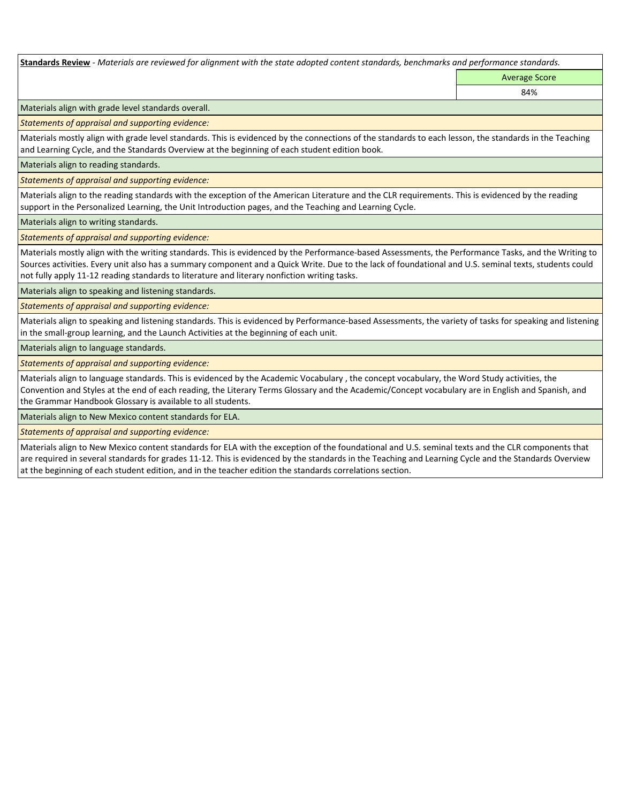**Standards Review** *- Materials are reviewed for alignment with the state adopted content standards, benchmarks and performance standards.*

Average Score

84%

Materials align with grade level standards overall.

*Statements of appraisal and supporting evidence:* 

Materials mostly align with grade level standards. This is evidenced by the connections of the standards to each lesson, the standards in the Teaching and Learning Cycle, and the Standards Overview at the beginning of each student edition book.

Materials align to reading standards.

*Statements of appraisal and supporting evidence:* 

Materials align to the reading standards with the exception of the American Literature and the CLR requirements. This is evidenced by the reading support in the Personalized Learning, the Unit Introduction pages, and the Teaching and Learning Cycle.

Materials align to writing standards.

*Statements of appraisal and supporting evidence:* 

Materials mostly align with the writing standards. This is evidenced by the Performance-based Assessments, the Performance Tasks, and the Writing to Sources activities. Every unit also has a summary component and a Quick Write. Due to the lack of foundational and U.S. seminal texts, students could not fully apply 11-12 reading standards to literature and literary nonfiction writing tasks.

Materials align to speaking and listening standards.

*Statements of appraisal and supporting evidence:* 

Materials align to speaking and listening standards. This is evidenced by Performance-based Assessments, the variety of tasks for speaking and listening in the small-group learning, and the Launch Activities at the beginning of each unit.

Materials align to language standards.

*Statements of appraisal and supporting evidence:* 

Materials align to language standards. This is evidenced by the Academic Vocabulary , the concept vocabulary, the Word Study activities, the Convention and Styles at the end of each reading, the Literary Terms Glossary and the Academic/Concept vocabulary are in English and Spanish, and the Grammar Handbook Glossary is available to all students.

Materials align to New Mexico content standards for ELA.

*Statements of appraisal and supporting evidence:* 

Materials align to New Mexico content standards for ELA with the exception of the foundational and U.S. seminal texts and the CLR components that are required in several standards for grades 11-12. This is evidenced by the standards in the Teaching and Learning Cycle and the Standards Overview at the beginning of each student edition, and in the teacher edition the standards correlations section.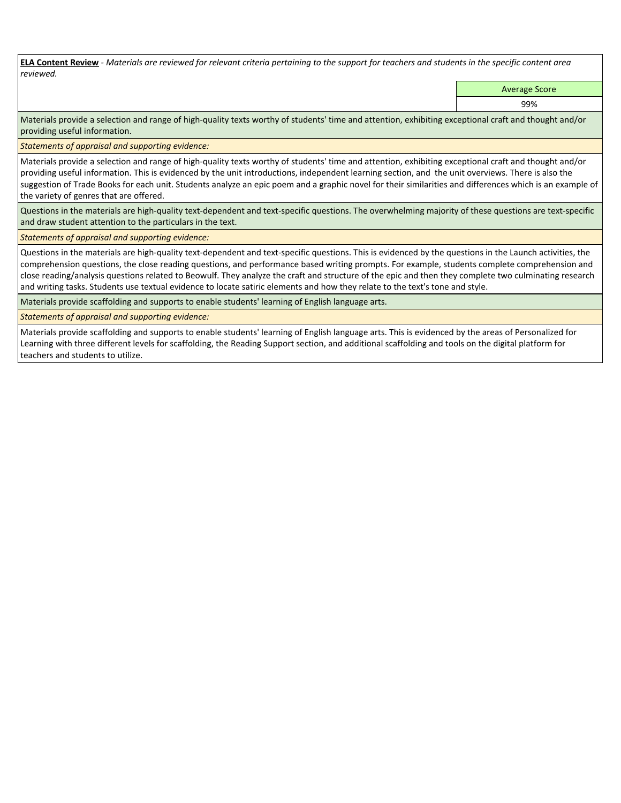**ELA Content Review** *- Materials are reviewed for relevant criteria pertaining to the support for teachers and students in the specific content area reviewed.*

Average Score

99%

Materials provide a selection and range of high-quality texts worthy of students' time and attention, exhibiting exceptional craft and thought and/or providing useful information.

*Statements of appraisal and supporting evidence:* 

Materials provide a selection and range of high-quality texts worthy of students' time and attention, exhibiting exceptional craft and thought and/or providing useful information. This is evidenced by the unit introductions, independent learning section, and the unit overviews. There is also the suggestion of Trade Books for each unit. Students analyze an epic poem and a graphic novel for their similarities and differences which is an example of the variety of genres that are offered.

Questions in the materials are high-quality text-dependent and text-specific questions. The overwhelming majority of these questions are text-specific and draw student attention to the particulars in the text.

*Statements of appraisal and supporting evidence:* 

Questions in the materials are high-quality text-dependent and text-specific questions. This is evidenced by the questions in the Launch activities, the comprehension questions, the close reading questions, and performance based writing prompts. For example, students complete comprehension and close reading/analysis questions related to Beowulf. They analyze the craft and structure of the epic and then they complete two culminating research and writing tasks. Students use textual evidence to locate satiric elements and how they relate to the text's tone and style.

Materials provide scaffolding and supports to enable students' learning of English language arts.

*Statements of appraisal and supporting evidence:* 

Materials provide scaffolding and supports to enable students' learning of English language arts. This is evidenced by the areas of Personalized for Learning with three different levels for scaffolding, the Reading Support section, and additional scaffolding and tools on the digital platform for teachers and students to utilize.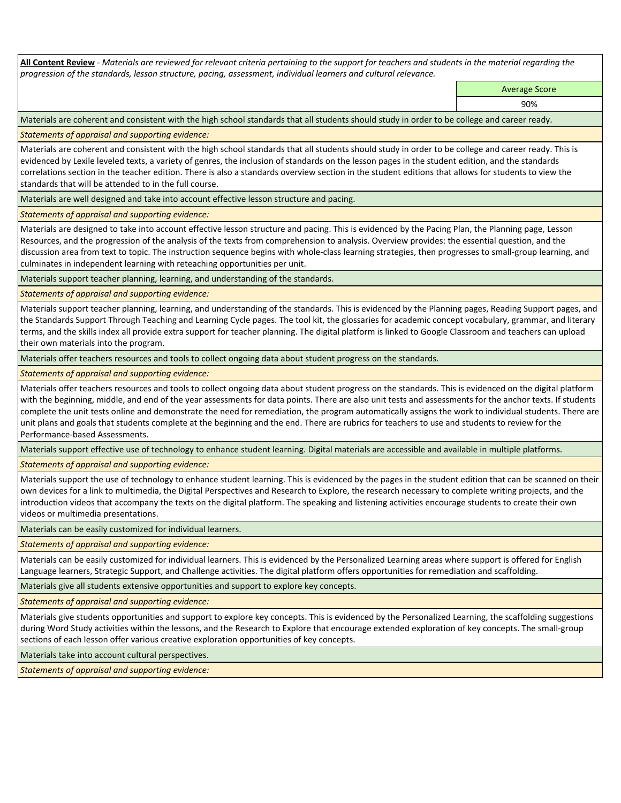**All Content Review** *- Materials are reviewed for relevant criteria pertaining to the support for teachers and students in the material regarding the progression of the standards, lesson structure, pacing, assessment, individual learners and cultural relevance.*

Average Score

90%

Materials are coherent and consistent with the high school standards that all students should study in order to be college and career ready.

*Statements of appraisal and supporting evidence:*

Materials are coherent and consistent with the high school standards that all students should study in order to be college and career ready. This is evidenced by Lexile leveled texts, a variety of genres, the inclusion of standards on the lesson pages in the student edition, and the standards correlations section in the teacher edition. There is also a standards overview section in the student editions that allows for students to view the standards that will be attended to in the full course.

Materials are well designed and take into account effective lesson structure and pacing.

*Statements of appraisal and supporting evidence:*

Materials are designed to take into account effective lesson structure and pacing. This is evidenced by the Pacing Plan, the Planning page, Lesson Resources, and the progression of the analysis of the texts from comprehension to analysis. Overview provides: the essential question, and the discussion area from text to topic. The instruction sequence begins with whole-class learning strategies, then progresses to small-group learning, and culminates in independent learning with reteaching opportunities per unit.

Materials support teacher planning, learning, and understanding of the standards.

# *Statements of appraisal and supporting evidence:*

Materials support teacher planning, learning, and understanding of the standards. This is evidenced by the Planning pages, Reading Support pages, and the Standards Support Through Teaching and Learning Cycle pages. The tool kit, the glossaries for academic concept vocabulary, grammar, and literary terms, and the skills index all provide extra support for teacher planning. The digital platform is linked to Google Classroom and teachers can upload their own materials into the program.

Materials offer teachers resources and tools to collect ongoing data about student progress on the standards.

*Statements of appraisal and supporting evidence:*

Materials offer teachers resources and tools to collect ongoing data about student progress on the standards. This is evidenced on the digital platform with the beginning, middle, and end of the year assessments for data points. There are also unit tests and assessments for the anchor texts. If students complete the unit tests online and demonstrate the need for remediation, the program automatically assigns the work to individual students. There are unit plans and goals that students complete at the beginning and the end. There are rubrics for teachers to use and students to review for the Performance-based Assessments.

Materials support effective use of technology to enhance student learning. Digital materials are accessible and available in multiple platforms.

*Statements of appraisal and supporting evidence:*

Materials support the use of technology to enhance student learning. This is evidenced by the pages in the student edition that can be scanned on their own devices for a link to multimedia, the Digital Perspectives and Research to Explore, the research necessary to complete writing projects, and the introduction videos that accompany the texts on the digital platform. The speaking and listening activities encourage students to create their own videos or multimedia presentations.

Materials can be easily customized for individual learners.

*Statements of appraisal and supporting evidence:* 

Materials can be easily customized for individual learners. This is evidenced by the Personalized Learning areas where support is offered for English Language learners, Strategic Support, and Challenge activities. The digital platform offers opportunities for remediation and scaffolding.

Materials give all students extensive opportunities and support to explore key concepts.

*Statements of appraisal and supporting evidence:*

Materials give students opportunities and support to explore key concepts. This is evidenced by the Personalized Learning, the scaffolding suggestions during Word Study activities within the lessons, and the Research to Explore that encourage extended exploration of key concepts. The small-group sections of each lesson offer various creative exploration opportunities of key concepts.

Materials take into account cultural perspectives.

*Statements of appraisal and supporting evidence:*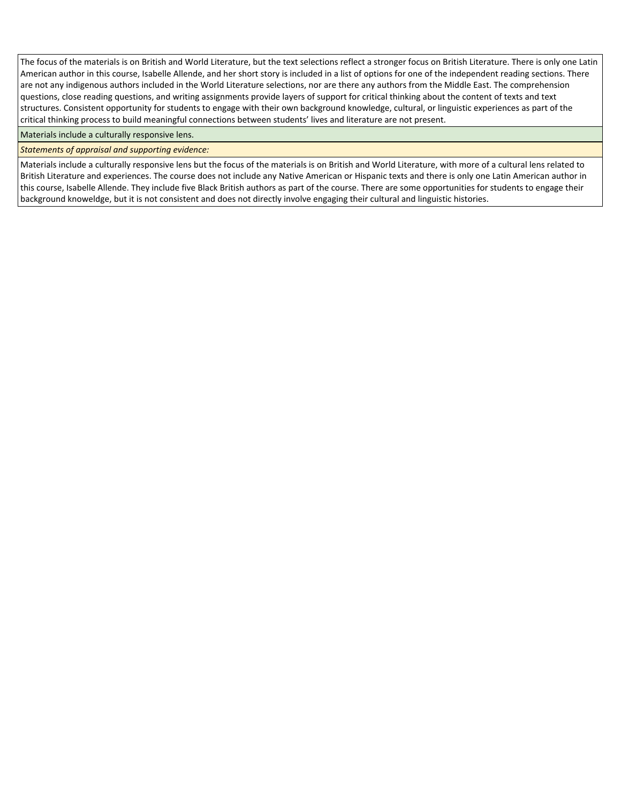The focus of the materials is on British and World Literature, but the text selections reflect a stronger focus on British Literature. There is only one Latin American author in this course, Isabelle Allende, and her short story is included in a list of options for one of the independent reading sections. There are not any indigenous authors included in the World Literature selections, nor are there any authors from the Middle East. The comprehension questions, close reading questions, and writing assignments provide layers of support for critical thinking about the content of texts and text structures. Consistent opportunity for students to engage with their own background knowledge, cultural, or linguistic experiences as part of the critical thinking process to build meaningful connections between students' lives and literature are not present.

Materials include a culturally responsive lens.

*Statements of appraisal and supporting evidence:*

Materials include a culturally responsive lens but the focus of the materials is on British and World Literature, with more of a cultural lens related to British Literature and experiences. The course does not include any Native American or Hispanic texts and there is only one Latin American author in this course, Isabelle Allende. They include five Black British authors as part of the course. There are some opportunities for students to engage their background knoweldge, but it is not consistent and does not directly involve engaging their cultural and linguistic histories.